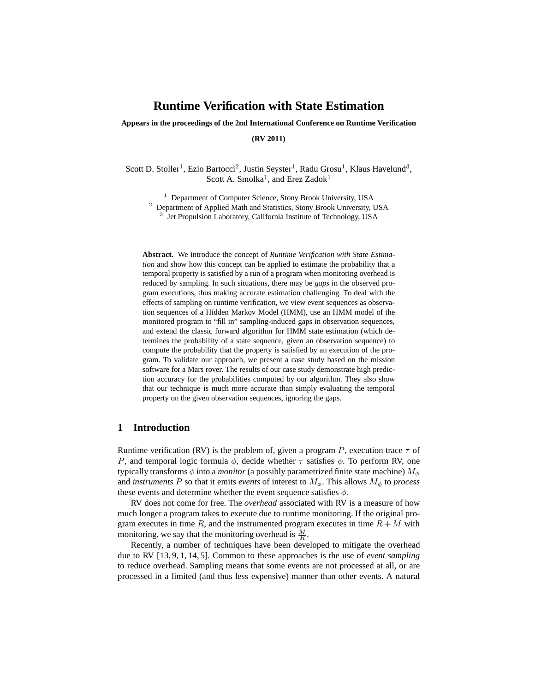# **Runtime Verification with State Estimation**

**Appears in the proceedings of the 2nd International Conference on Runtime Verification**

**(RV 2011)**

Scott D. Stoller<sup>1</sup>, Ezio Bartocci<sup>2</sup>, Justin Seyster<sup>1</sup>, Radu Grosu<sup>1</sup>, Klaus Havelund<sup>3</sup>, Scott A. Smolka<sup>1</sup>, and Erez Zadok<sup>1</sup>

<sup>1</sup> Department of Computer Science, Stony Brook University, USA

<sup>2</sup> Department of Applied Math and Statistics, Stony Brook University, USA

<sup>3</sup> Jet Propulsion Laboratory, California Institute of Technology, USA

**Abstract.** We introduce the concept of *Runtime Verification with State Estimation* and show how this concept can be applied to estimate the probability that a temporal property is satisfied by a run of a program when monitoring overhead is reduced by sampling. In such situations, there may be *gaps* in the observed program executions, thus making accurate estimation challenging. To deal with the effects of sampling on runtime verification, we view event sequences as observation sequences of a Hidden Markov Model (HMM), use an HMM model of the monitored program to "fill in" sampling-induced gaps in observation sequences, and extend the classic forward algorithm for HMM state estimation (which determines the probability of a state sequence, given an observation sequence) to compute the probability that the property is satisfied by an execution of the program. To validate our approach, we present a case study based on the mission software for a Mars rover. The results of our case study demonstrate high prediction accuracy for the probabilities computed by our algorithm. They also show that our technique is much more accurate than simply evaluating the temporal property on the given observation sequences, ignoring the gaps.

# **1 Introduction**

Runtime verification (RV) is the problem of, given a program P, execution trace  $\tau$  of P, and temporal logic formula  $\phi$ , decide whether  $\tau$  satisfies  $\phi$ . To perform RV, one typically transforms  $\phi$  into a *monitor* (a possibly parametrized finite state machine)  $M_{\phi}$ and *instruments* P so that it emits *events* of interest to  $M_{\phi}$ . This allows  $M_{\phi}$  to *process* these events and determine whether the event sequence satisfies  $\phi$ .

RV does not come for free. The *overhead* associated with RV is a measure of how much longer a program takes to execute due to runtime monitoring. If the original program executes in time R, and the instrumented program executes in time  $R + M$  with monitoring, we say that the monitoring overhead is  $\frac{M}{R}$ .

Recently, a number of techniques have been developed to mitigate the overhead due to RV [13, 9, 1, 14, 5]. Common to these approaches is the use of *event sampling* to reduce overhead. Sampling means that some events are not processed at all, or are processed in a limited (and thus less expensive) manner than other events. A natural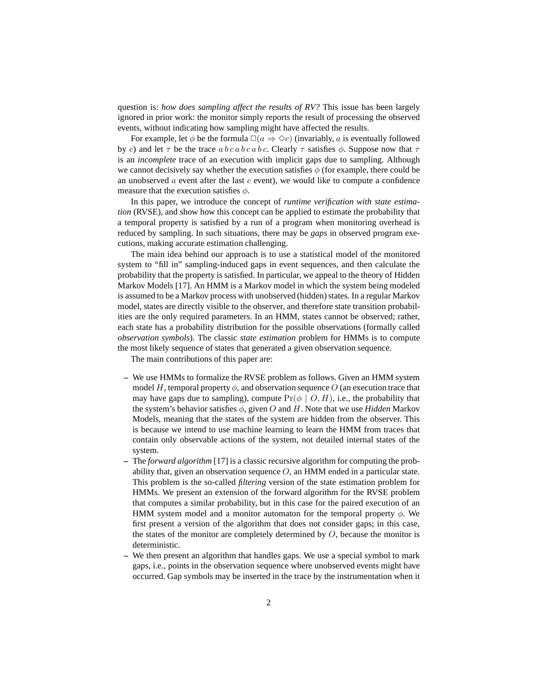question is: *how does sampling affect the results of RV?* This issue has been largely ignored in prior work: the monitor simply reports the result of processing the observed events, without indicating how sampling might have affected the results.

For example, let  $\phi$  be the formula  $\square(a \Rightarrow \Diamond c)$  (invariably, a is eventually followed by c) and let  $\tau$  be the trace  $a b c a b c a b c$ . Clearly  $\tau$  satisfies  $\phi$ . Suppose now that  $\tau$ is an *incomplete* trace of an execution with implicit gaps due to sampling. Although we cannot decisively say whether the execution satisfies  $\phi$  (for example, there could be an unobserved  $\alpha$  event after the last  $c$  event), we would like to compute a confidence measure that the execution satisfies  $\phi$ .

In this paper, we introduce the concept of *runtime verification with state estimation* (RVSE), and show how this concept can be applied to estimate the probability that a temporal property is satisfied by a run of a program when monitoring overhead is reduced by sampling. In such situations, there may be *gaps* in observed program executions, making accurate estimation challenging.

The main idea behind our approach is to use a statistical model of the monitored system to "fill in" sampling-induced gaps in event sequences, and then calculate the probability that the property is satisfied. In particular, we appeal to the theory of Hidden Markov Models [17]. An HMM is a Markov model in which the system being modeled is assumed to be a Markov process with unobserved (hidden) states. In a regular Markov model, states are directly visible to the observer, and therefore state transition probabilities are the only required parameters. In an HMM, states cannot be observed; rather, each state has a probability distribution for the possible observations (formally called *observation symbols*). The classic *state estimation* problem for HMMs is to compute the most likely sequence of states that generated a given observation sequence.

The main contributions of this paper are:

- **–** We use HMMs to formalize the RVSE problem as follows. Given an HMM system model H, temporal property  $\phi$ , and observation sequence O (an execution trace that may have gaps due to sampling), compute  $Pr(\phi \mid O, H)$ , i.e., the probability that the system's behavior satisfies φ, given O and H. Note that we use *Hidden* Markov Models, meaning that the states of the system are hidden from the observer. This is because we intend to use machine learning to learn the HMM from traces that contain only observable actions of the system, not detailed internal states of the system.
- **–** The *forward algorithm* [17] is a classic recursive algorithm for computing the probability that, given an observation sequence  $O$ , an HMM ended in a particular state. This problem is the so-called *filtering* version of the state estimation problem for HMMs. We present an extension of the forward algorithm for the RVSE problem that computes a similar probability, but in this case for the paired execution of an HMM system model and a monitor automaton for the temporal property  $\phi$ . We first present a version of the algorithm that does not consider gaps; in this case, the states of the monitor are completely determined by  $O$ , because the monitor is deterministic.
- **–** We then present an algorithm that handles gaps. We use a special symbol to mark gaps, i.e., points in the observation sequence where unobserved events might have occurred. Gap symbols may be inserted in the trace by the instrumentation when it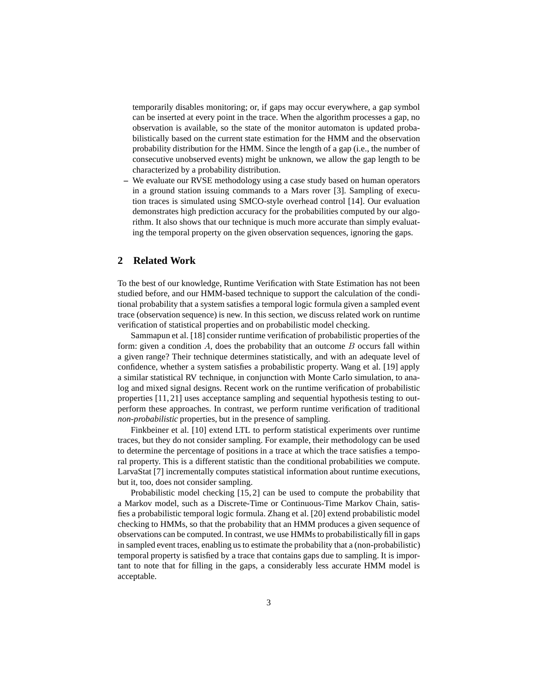temporarily disables monitoring; or, if gaps may occur everywhere, a gap symbol can be inserted at every point in the trace. When the algorithm processes a gap, no observation is available, so the state of the monitor automaton is updated probabilistically based on the current state estimation for the HMM and the observation probability distribution for the HMM. Since the length of a gap (i.e., the number of consecutive unobserved events) might be unknown, we allow the gap length to be characterized by a probability distribution.

**–** We evaluate our RVSE methodology using a case study based on human operators in a ground station issuing commands to a Mars rover [3]. Sampling of execution traces is simulated using SMCO-style overhead control [14]. Our evaluation demonstrates high prediction accuracy for the probabilities computed by our algorithm. It also shows that our technique is much more accurate than simply evaluating the temporal property on the given observation sequences, ignoring the gaps.

### **2 Related Work**

To the best of our knowledge, Runtime Verification with State Estimation has not been studied before, and our HMM-based technique to support the calculation of the conditional probability that a system satisfies a temporal logic formula given a sampled event trace (observation sequence) is new. In this section, we discuss related work on runtime verification of statistical properties and on probabilistic model checking.

Sammapun et al. [18] consider runtime verification of probabilistic properties of the form: given a condition  $A$ , does the probability that an outcome  $B$  occurs fall within a given range? Their technique determines statistically, and with an adequate level of confidence, whether a system satisfies a probabilistic property. Wang et al. [19] apply a similar statistical RV technique, in conjunction with Monte Carlo simulation, to analog and mixed signal designs. Recent work on the runtime verification of probabilistic properties [11, 21] uses acceptance sampling and sequential hypothesis testing to outperform these approaches. In contrast, we perform runtime verification of traditional *non-probabilistic* properties, but in the presence of sampling.

Finkbeiner et al. [10] extend LTL to perform statistical experiments over runtime traces, but they do not consider sampling. For example, their methodology can be used to determine the percentage of positions in a trace at which the trace satisfies a temporal property. This is a different statistic than the conditional probabilities we compute. LarvaStat [7] incrementally computes statistical information about runtime executions, but it, too, does not consider sampling.

Probabilistic model checking [15, 2] can be used to compute the probability that a Markov model, such as a Discrete-Time or Continuous-Time Markov Chain, satisfies a probabilistic temporal logic formula. Zhang et al. [20] extend probabilistic model checking to HMMs, so that the probability that an HMM produces a given sequence of observations can be computed. In contrast, we use HMMs to probabilistically fill in gaps in sampled event traces, enabling us to estimate the probability that a (non-probabilistic) temporal property is satisfied by a trace that contains gaps due to sampling. It is important to note that for filling in the gaps, a considerably less accurate HMM model is acceptable.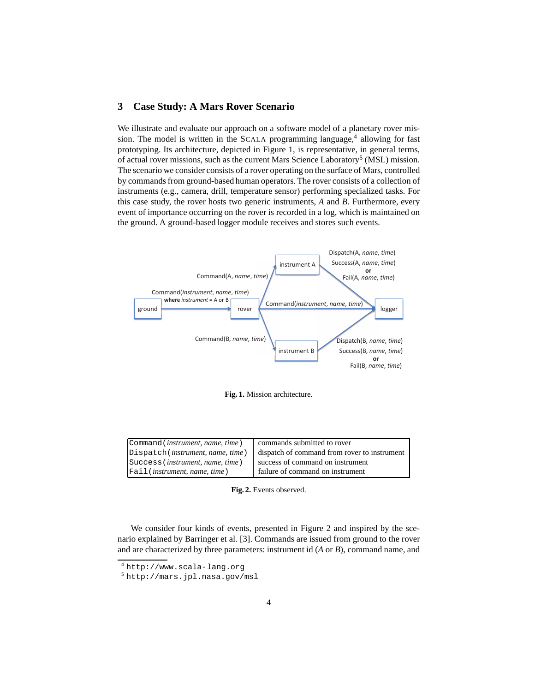# **3 Case Study: A Mars Rover Scenario**

We illustrate and evaluate our approach on a software model of a planetary rover mission. The model is written in the SCALA programming language,<sup>4</sup> allowing for fast prototyping. Its architecture, depicted in Figure 1, is representative, in general terms, of actual rover missions, such as the current Mars Science Laboratory<sup>5</sup> (MSL) mission. The scenario we consider consists of a rover operating on the surface of Mars, controlled by commands from ground-based human operators. The rover consists of a collection of instruments (e.g., camera, drill, temperature sensor) performing specialized tasks. For this case study, the rover hosts two generic instruments, *A* and *B*. Furthermore, every event of importance occurring on the rover is recorded in a log, which is maintained on the ground. A ground-based logger module receives and stores such events.



**Fig. 1.** Mission architecture.

| Command ( <i>instrument, name, time</i> ) | commands submitted to rover                  |
|-------------------------------------------|----------------------------------------------|
| Dispatch( <i>instrument, name, time</i> ) | dispatch of command from rover to instrument |
| Success ( <i>instrument, name, time</i> ) | success of command on instrument             |
| Fail (instrument, name, time)             | failure of command on instrument             |

**Fig. 2.** Events observed.

We consider four kinds of events, presented in Figure 2 and inspired by the scenario explained by Barringer et al. [3]. Commands are issued from ground to the rover and are characterized by three parameters: instrument id (*A* or *B*), command name, and

<sup>4</sup> http://www.scala-lang.org

<sup>5</sup> http://mars.jpl.nasa.gov/msl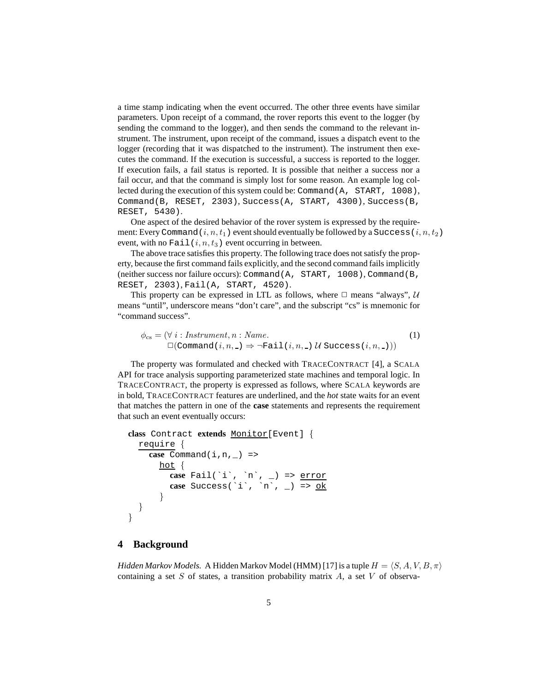a time stamp indicating when the event occurred. The other three events have similar parameters. Upon receipt of a command, the rover reports this event to the logger (by sending the command to the logger), and then sends the command to the relevant instrument. The instrument, upon receipt of the command, issues a dispatch event to the logger (recording that it was dispatched to the instrument). The instrument then executes the command. If the execution is successful, a success is reported to the logger. If execution fails, a fail status is reported. It is possible that neither a success nor a fail occur, and that the command is simply lost for some reason. An example log collected during the execution of this system could be: Command(A, START, 1008), Command(B, RESET, 2303), Success(A, START, 4300), Success(B, RESET, 5430).

One aspect of the desired behavior of the rover system is expressed by the requirement: Every Command  $(i, n, t_1)$  event should eventually be followed by a Success  $(i, n, t_2)$ event, with no Fail $(i, n, t_3)$  event occurring in between.

The above trace satisfies this property. The following trace does not satisfy the property, because the first command fails explicitly, and the second command fails implicitly (neither success nor failure occurs): Command(A, START, 1008), Command(B, RESET, 2303), Fail(A, START, 4520).

This property can be expressed in LTL as follows, where  $\Box$  means "always", U means "until", underscore means "don't care", and the subscript "cs" is mnemonic for "command success".

$$
\phi_{\text{cs}} = (\forall i : Instrument, n : Name. \qquad (1)
$$
\n
$$
\Box(\text{Command}(i, n, \_) \Rightarrow \neg \text{Tail}(i, n, \_) \ U \text{ Success}(i, n, \_))
$$

The property was formulated and checked with TRACECONTRACT [4], a SCALA API for trace analysis supporting parameterized state machines and temporal logic. In TRACECONTRACT, the property is expressed as follows, where SCALA keywords are in bold, TRACECONTRACT features are underlined, and the *hot* state waits for an event that matches the pattern in one of the **case** statements and represents the requirement that such an event eventually occurs:

```
class Contract extends Monitor[Event] {
  require {
    case Command(i, n, ) =>
      hot \{case Fail(`i`, `n`, _) => error
         case Success(i, n, n, \frac{1}{2} => ok
       }
  }
}
```
### **4 Background**

*Hidden Markov Models.* A Hidden Markov Model (HMM) [17] is a tuple  $H = \langle S, A, V, B, \pi \rangle$ containing a set  $S$  of states, a transition probability matrix  $A$ , a set  $V$  of observa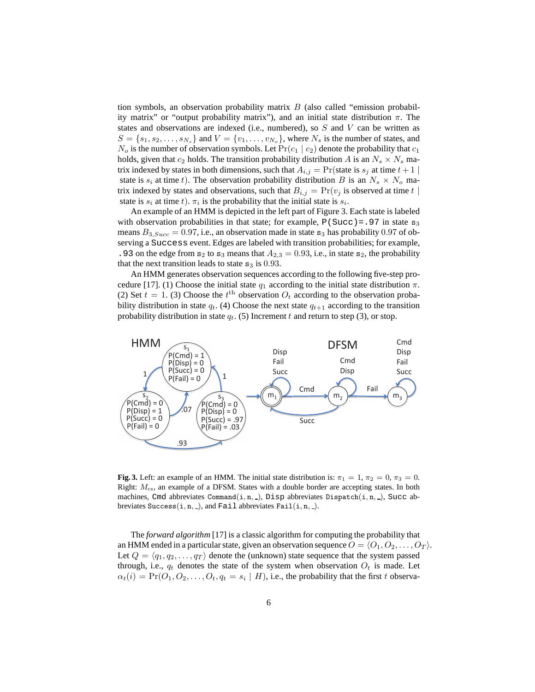tion symbols, an observation probability matrix  $B$  (also called "emission probability matrix" or "output probability matrix"), and an initial state distribution  $\pi$ . The states and observations are indexed (i.e., numbered), so  $S$  and  $V$  can be written as  $S = \{s_1, s_2, \ldots, s_{N_s}\}\$ and  $V = \{v_1, \ldots, v_{N_o}\}\$ , where  $N_s$  is the number of states, and  $N_o$  is the number of observation symbols. Let  $Pr(c_1 | c_2)$  denote the probability that  $c_1$ holds, given that  $c_2$  holds. The transition probability distribution A is an  $N_s \times N_s$  matrix indexed by states in both dimensions, such that  $A_{i,j} = Pr(\text{state is } s_j \text{ at time } t+1)$ state is  $s_i$  at time t). The observation probability distribution B is an  $N_s \times N_o$  matrix indexed by states and observations, such that  $B_{i,j} = \Pr(v_j \text{ is observed at time } t)$ state is  $s_i$  at time t).  $\pi_i$  is the probability that the initial state is  $s_i$ .

An example of an HMM is depicted in the left part of Figure 3. Each state is labeled with observation probabilities in that state; for example,  $P(Succ) = .97$  in state  $s_3$ means  $B_{3.5ucc} = 0.97$ , i.e., an observation made in state  $s_3$  has probability 0.97 of observing a Success event. Edges are labeled with transition probabilities; for example, .93 on the edge from  $s_2$  to  $s_3$  means that  $A_{2,3} = 0.93$ , i.e., in state  $s_2$ , the probability that the next transition leads to state  $s_3$  is 0.93.

An HMM generates observation sequences according to the following five-step procedure [17]. (1) Choose the initial state  $q_1$  according to the initial state distribution  $\pi$ . (2) Set  $t = 1$ . (3) Choose the  $t<sup>th</sup>$  observation  $O_t$  according to the observation probability distribution in state  $q_t$ . (4) Choose the next state  $q_{t+1}$  according to the transition probability distribution in state  $q_t$ . (5) Increment t and return to step (3), or stop.



**Fig. 3.** Left: an example of an HMM. The initial state distribution is:  $\pi_1 = 1$ ,  $\pi_2 = 0$ ,  $\pi_3 = 0$ . Right:  $M_{cs}$ , an example of a DFSM. States with a double border are accepting states. In both machines, Cmd abbreviates Command $(i, n, ...)$ , Disp abbreviates Dispatch $(i, n, ...)$ , Succ abbreviates Success $(i, n, ...)$ , and Fail abbreviates Fail $(i, n, ...)$ .

The *forward algorithm* [17] is a classic algorithm for computing the probability that an HMM ended in a particular state, given an observation sequence  $O = \langle O_1, O_2, \ldots, O_T \rangle$ . Let  $Q = \langle q_1, q_2, \ldots, q_T \rangle$  denote the (unknown) state sequence that the system passed through, i.e.,  $q_t$  denotes the state of the system when observation  $O_t$  is made. Let  $\alpha_t(i) = \Pr(O_1, O_2, \ldots, O_t, q_t = s_i | H)$ , i.e., the probability that the first t observa-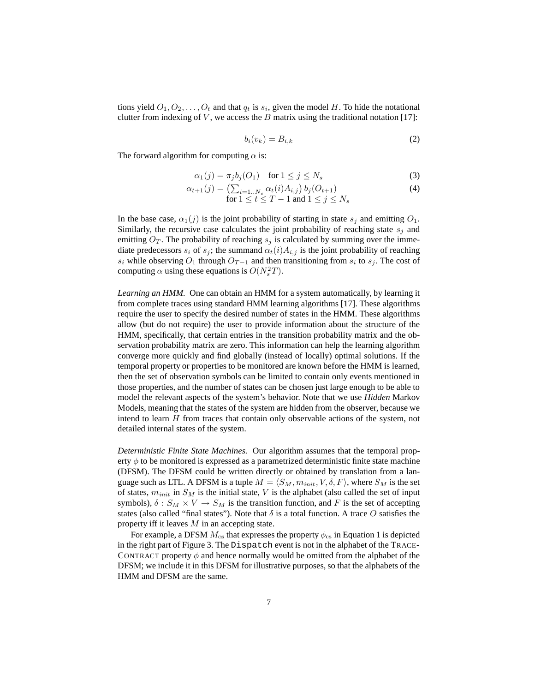tions yield  $O_1, O_2, \ldots, O_t$  and that  $q_t$  is  $s_i$ , given the model H. To hide the notational clutter from indexing of V, we access the B matrix using the traditional notation [17]:

$$
b_i(v_k) = B_{i,k} \tag{2}
$$

The forward algorithm for computing  $\alpha$  is:

$$
\alpha_1(j) = \pi_j b_j(O_1) \quad \text{for } 1 \le j \le N_s \tag{3}
$$

$$
\alpha_{t+1}(j) = \left(\sum_{i=1..N_s} \alpha_t(i) A_{i,j}\right) b_j(O_{t+1})
$$
  
for  $1 \le t \le T-1$  and  $1 \le j \le N_s$  (4)

In the base case,  $\alpha_1(j)$  is the joint probability of starting in state  $s_i$  and emitting  $O_1$ . Similarly, the recursive case calculates the joint probability of reaching state  $s_j$  and emitting  $O_T$ . The probability of reaching  $s_j$  is calculated by summing over the immediate predecessors  $s_i$  of  $s_j$ ; the summand  $\alpha_t(i)A_{i,j}$  is the joint probability of reaching  $s_i$  while observing  $O_1$  through  $O_{T-1}$  and then transitioning from  $s_i$  to  $s_j$ . The cost of computing  $\alpha$  using these equations is  $O(N_s^2T)$ .

*Learning an HMM.* One can obtain an HMM for a system automatically, by learning it from complete traces using standard HMM learning algorithms [17]. These algorithms require the user to specify the desired number of states in the HMM. These algorithms allow (but do not require) the user to provide information about the structure of the HMM, specifically, that certain entries in the transition probability matrix and the observation probability matrix are zero. This information can help the learning algorithm converge more quickly and find globally (instead of locally) optimal solutions. If the temporal property or properties to be monitored are known before the HMM is learned, then the set of observation symbols can be limited to contain only events mentioned in those properties, and the number of states can be chosen just large enough to be able to model the relevant aspects of the system's behavior. Note that we use *Hidden* Markov Models, meaning that the states of the system are hidden from the observer, because we intend to learn  $H$  from traces that contain only observable actions of the system, not detailed internal states of the system.

*Deterministic Finite State Machines.* Our algorithm assumes that the temporal property  $\phi$  to be monitored is expressed as a parametrized deterministic finite state machine (DFSM). The DFSM could be written directly or obtained by translation from a language such as LTL. A DFSM is a tuple  $M = \langle S_M, m_{init}, V, \delta, F \rangle$ , where  $S_M$  is the set of states,  $m_{init}$  in  $S_M$  is the initial state, V is the alphabet (also called the set of input symbols),  $\delta$  :  $S_M \times V \to S_M$  is the transition function, and F is the set of accepting states (also called "final states"). Note that  $\delta$  is a total function. A trace O satisfies the property iff it leaves M in an accepting state.

For example, a DFSM  $M_{cs}$  that expresses the property  $\phi_{cs}$  in Equation 1 is depicted in the right part of Figure 3. The Dispatch event is not in the alphabet of the TRACE-CONTRACT property  $\phi$  and hence normally would be omitted from the alphabet of the DFSM; we include it in this DFSM for illustrative purposes, so that the alphabets of the HMM and DFSM are the same.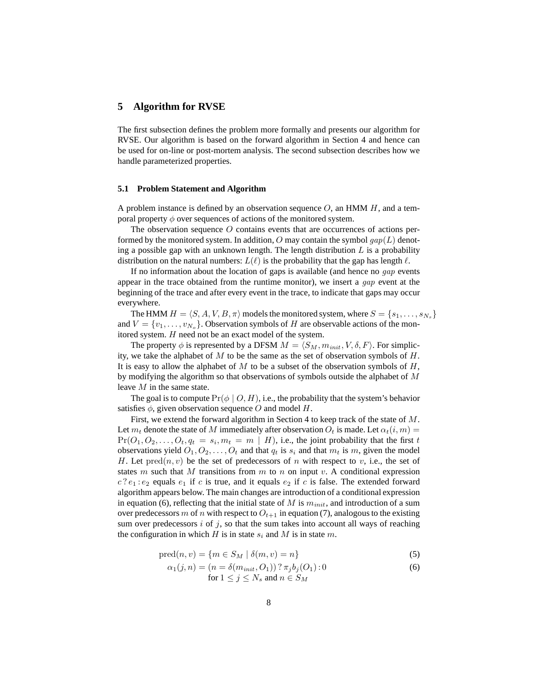### **5 Algorithm for RVSE**

The first subsection defines the problem more formally and presents our algorithm for RVSE. Our algorithm is based on the forward algorithm in Section 4 and hence can be used for on-line or post-mortem analysis. The second subsection describes how we handle parameterized properties.

#### **5.1 Problem Statement and Algorithm**

A problem instance is defined by an observation sequence  $O$ , an HMM  $H$ , and a temporal property  $\phi$  over sequences of actions of the monitored system.

The observation sequence  $O$  contains events that are occurrences of actions performed by the monitored system. In addition, O may contain the symbol  $gap(L)$  denoting a possible gap with an unknown length. The length distribution  $L$  is a probability distribution on the natural numbers:  $L(\ell)$  is the probability that the gap has length  $\ell$ .

If no information about the location of gaps is available (and hence no  $qap$  events appear in the trace obtained from the runtime monitor), we insert a gap event at the beginning of the trace and after every event in the trace, to indicate that gaps may occur everywhere.

The HMM  $H = \langle S, A, V, B, \pi \rangle$  models the monitored system, where  $S = \{s_1, \ldots, s_N\}$ and  $V = \{v_1, \ldots, v_{N_0}\}\)$ . Observation symbols of H are observable actions of the monitored system. H need not be an exact model of the system.

The property  $\phi$  is represented by a DFSM  $M = \langle S_M, m_{init}, V, \delta, F \rangle$ . For simplicity, we take the alphabet of  $M$  to be the same as the set of observation symbols of  $H$ . It is easy to allow the alphabet of  $M$  to be a subset of the observation symbols of  $H$ , by modifying the algorithm so that observations of symbols outside the alphabet of M leave M in the same state.

The goal is to compute  $Pr(\phi \mid O, H)$ , i.e., the probability that the system's behavior satisfies  $\phi$ , given observation sequence O and model H.

First, we extend the forward algorithm in Section 4 to keep track of the state of M. Let  $m_t$  denote the state of M immediately after observation  $O_t$  is made. Let  $\alpha_t(i, m) =$  $Pr(O_1, O_2, \ldots, O_t, q_t = s_i, m_t = m | H)$ , i.e., the joint probability that the first t observations yield  $O_1, O_2, \ldots, O_t$  and that  $q_t$  is  $s_i$  and that  $m_t$  is  $m$ , given the model H. Let  $\text{pred}(n, v)$  be the set of predecessors of n with respect to v, i.e., the set of states m such that M transitions from  $m$  to  $n$  on input v. A conditional expression  $c$ ?  $e_1$  :  $e_2$  equals  $e_1$  if c is true, and it equals  $e_2$  if c is false. The extended forward algorithm appears below. The main changes are introduction of a conditional expression in equation (6), reflecting that the initial state of  $M$  is  $m_{init}$ , and introduction of a sum over predecessors m of n with respect to  $O_{t+1}$  in equation (7), analogous to the existing sum over predecessors  $i$  of  $j$ , so that the sum takes into account all ways of reaching the configuration in which H is in state  $s_i$  and M is in state m.

$$
pred(n, v) = \{m \in S_M \mid \delta(m, v) = n\}
$$
\n
$$
(5)
$$

$$
\alpha_1(j,n) = (n = \delta(m_{init}, O_1)) ? \pi_j b_j(O_1) : 0
$$
  
for  $1 \le j \le N_s$  and  $n \in S_M$  (6)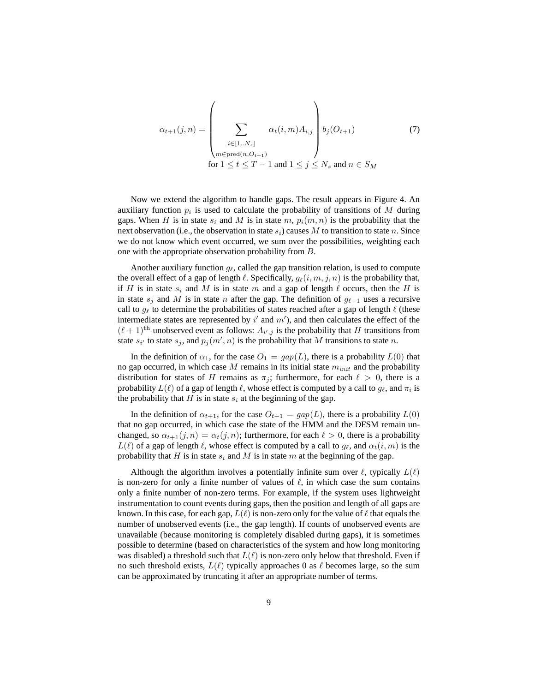$$
\alpha_{t+1}(j,n) = \left(\sum_{\substack{i \in [1..N_s] \\ m \in \text{pred}(n, O_{t+1})}} \alpha_t(i,m) A_{i,j}\right) b_j(O_{t+1}) \tag{7}
$$
  
for  $1 \le t \le T-1$  and  $1 \le j \le N_s$  and  $n \in S_M$ 

Now we extend the algorithm to handle gaps. The result appears in Figure 4. An auxiliary function  $p_i$  is used to calculate the probability of transitions of M during gaps. When H is in state  $s_i$  and M is in state  $m$ ,  $p_i(m, n)$  is the probability that the next observation (i.e., the observation in state  $s_i$ ) causes M to transition to state n. Since we do not know which event occurred, we sum over the possibilities, weighting each one with the appropriate observation probability from B.

Another auxiliary function  $g_{\ell}$ , called the gap transition relation, is used to compute the overall effect of a gap of length  $\ell$ . Specifically,  $g_{\ell}(i, m, j, n)$  is the probability that, if H is in state  $s_i$  and M is in state m and a gap of length  $\ell$  occurs, then the H is in state  $s_i$  and M is in state n after the gap. The definition of  $q_{\ell+1}$  uses a recursive call to  $g_\ell$  to determine the probabilities of states reached after a gap of length  $\ell$  (these intermediate states are represented by  $i'$  and  $m'$ ), and then calculates the effect of the  $(\ell+1)$ <sup>th</sup> unobserved event as follows:  $A_{i',j}$  is the probability that H transitions from state  $s_{i'}$  to state  $s_j$ , and  $p_j(m', n)$  is the probability that M transitions to state n.

In the definition of  $\alpha_1$ , for the case  $O_1 = gap(L)$ , there is a probability  $L(0)$  that no gap occurred, in which case M remains in its initial state  $m_{init}$  and the probability distribution for states of H remains as  $\pi_i$ ; furthermore, for each  $\ell > 0$ , there is a probability  $L(\ell)$  of a gap of length  $\ell,$  whose effect is computed by a call to  $g_\ell,$  and  $\pi_i$  is the probability that H is in state  $s_i$  at the beginning of the gap.

In the definition of  $\alpha_{t+1}$ , for the case  $O_{t+1} = gap(L)$ , there is a probability  $L(0)$ that no gap occurred, in which case the state of the HMM and the DFSM remain unchanged, so  $\alpha_{t+1}(j,n) = \alpha_t(j,n)$ ; furthermore, for each  $\ell > 0$ , there is a probability  $L(\ell)$  of a gap of length  $\ell$ , whose effect is computed by a call to  $g_{\ell}$ , and  $\alpha_t(i, m)$  is the probability that H is in state  $s_i$  and M is in state m at the beginning of the gap.

Although the algorithm involves a potentially infinite sum over  $\ell$ , typically  $L(\ell)$ is non-zero for only a finite number of values of  $\ell$ , in which case the sum contains only a finite number of non-zero terms. For example, if the system uses lightweight instrumentation to count events during gaps, then the position and length of all gaps are known. In this case, for each gap,  $L(\ell)$  is non-zero only for the value of  $\ell$  that equals the number of unobserved events (i.e., the gap length). If counts of unobserved events are unavailable (because monitoring is completely disabled during gaps), it is sometimes possible to determine (based on characteristics of the system and how long monitoring was disabled) a threshold such that  $L(\ell)$  is non-zero only below that threshold. Even if no such threshold exists,  $L(\ell)$  typically approaches 0 as  $\ell$  becomes large, so the sum can be approximated by truncating it after an appropriate number of terms.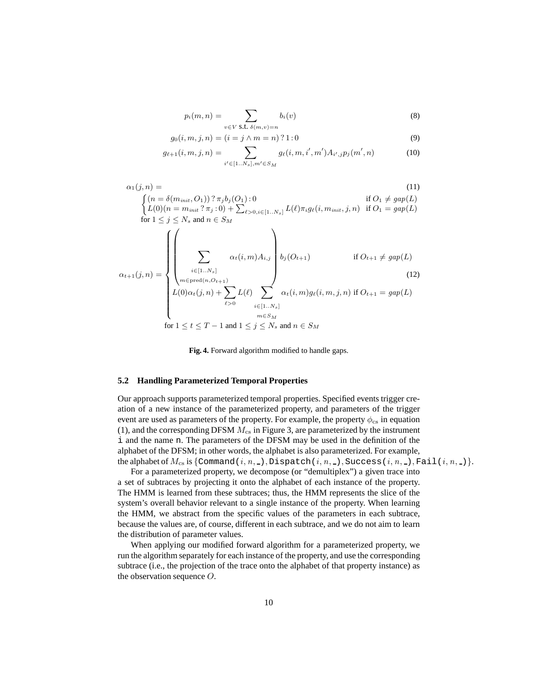$$
p_i(m,n) = \sum_{v \in V \text{ S.t. } \delta(m,v) = n} b_i(v)
$$
\n(8)

$$
g_0(i, m, j, n) = (i = j \land m = n)? 1:0
$$
\n(9)

$$
g_{\ell+1}(i,m,j,n) = \sum_{i' \in [1..N_s], m' \in S_M} g_{\ell}(i,m,i',m') A_{i',j} p_j(m',n)
$$
(10)

$$
\alpha_1(j,n) = \n\begin{cases}\n(n = \delta(m_{init}, O_1)) ? \pi_j b_j(O_1) : 0 & \text{if } O_1 \neq gap(L) \\
L(0)(n = m_{init} ? \pi_j : 0) + \sum_{\ell > 0, i \in [1..N_s]} L(\ell) \pi_i g_\ell(i, m_{init}, j, n) & \text{if } O_1 = gap(L) \\
\text{for } 1 \leq j \leq N_s \text{ and } n \in S_M\n\end{cases} \tag{11}
$$

$$
\alpha_{t+1}(j,n) = \begin{cases}\n\sum_{i \in [1..N_s]} \alpha_t(i,m) A_{i,j} \\
\sum_{m \in \text{pred}(n, O_{t+1})} \alpha_t(i,m) A_{i,j} & \text{if } O_{t+1} \neq gap(L) \\
L(0) \alpha_t(j,n) + \sum_{\ell > 0} L(\ell) \sum_{i \in [1..N_s]} \alpha_t(i,m) g_{\ell}(i,m,j,n) & \text{if } O_{t+1} = gap(L) \\
\text{for } 1 \leq t \leq T-1 \text{ and } 1 \leq j \leq N_s \text{ and } n \in S_M\n\end{cases}
$$
\n(12)



#### **5.2 Handling Parameterized Temporal Properties**

Our approach supports parameterized temporal properties. Specified events trigger creation of a new instance of the parameterized property, and parameters of the trigger event are used as parameters of the property. For example, the property  $\phi_{\rm cs}$  in equation (1), and the corresponding DFSM  $M_{cs}$  in Figure 3, are parameterized by the instrument i and the name n. The parameters of the DFSM may be used in the definition of the alphabet of the DFSM; in other words, the alphabet is also parameterized. For example, the alphabet of  $M_{cs}$  is  $\{\text{Command}(i, n, -), \text{Dispatch}(i, n, -), \text{Success}(i, n, -), \text{Fall}(i, n, -)\}.$ 

For a parameterized property, we decompose (or "demultiplex") a given trace into a set of subtraces by projecting it onto the alphabet of each instance of the property. The HMM is learned from these subtraces; thus, the HMM represents the slice of the system's overall behavior relevant to a single instance of the property. When learning the HMM, we abstract from the specific values of the parameters in each subtrace, because the values are, of course, different in each subtrace, and we do not aim to learn the distribution of parameter values.

When applying our modified forward algorithm for a parameterized property, we run the algorithm separately for each instance of the property, and use the corresponding subtrace (i.e., the projection of the trace onto the alphabet of that property instance) as the observation sequence O.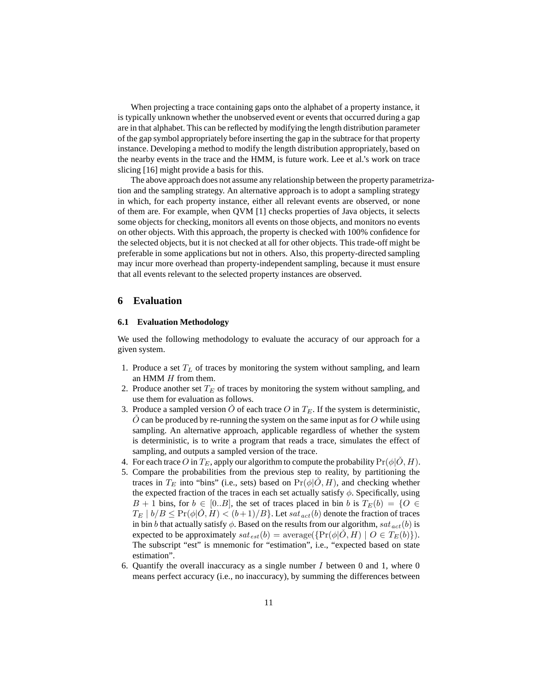When projecting a trace containing gaps onto the alphabet of a property instance, it is typically unknown whether the unobserved event or events that occurred during a gap are in that alphabet. This can be reflected by modifying the length distribution parameter of the gap symbol appropriately before inserting the gap in the subtrace for that property instance. Developing a method to modify the length distribution appropriately, based on the nearby events in the trace and the HMM, is future work. Lee et al.'s work on trace slicing [16] might provide a basis for this.

The above approach does not assume any relationship between the property parametrization and the sampling strategy. An alternative approach is to adopt a sampling strategy in which, for each property instance, either all relevant events are observed, or none of them are. For example, when QVM [1] checks properties of Java objects, it selects some objects for checking, monitors all events on those objects, and monitors no events on other objects. With this approach, the property is checked with 100% confidence for the selected objects, but it is not checked at all for other objects. This trade-off might be preferable in some applications but not in others. Also, this property-directed sampling may incur more overhead than property-independent sampling, because it must ensure that all events relevant to the selected property instances are observed.

### **6 Evaluation**

#### **6.1 Evaluation Methodology**

We used the following methodology to evaluate the accuracy of our approach for a given system.

- 1. Produce a set  $T_L$  of traces by monitoring the system without sampling, and learn an HMM H from them.
- 2. Produce another set  $T_E$  of traces by monitoring the system without sampling, and use them for evaluation as follows.
- 3. Produce a sampled version  $\tilde{O}$  of each trace O in  $T_E$ . If the system is deterministic,  $O$  can be produced by re-running the system on the same input as for  $O$  while using sampling. An alternative approach, applicable regardless of whether the system is deterministic, is to write a program that reads a trace, simulates the effect of sampling, and outputs a sampled version of the trace.
- 4. For each trace O in  $T_E$ , apply our algorithm to compute the probability  $Pr(\phi|O, H)$ .
- 5. Compare the probabilities from the previous step to reality, by partitioning the traces in  $T_E$  into "bins" (i.e., sets) based on  $Pr(\phi|O, H)$ , and checking whether the expected fraction of the traces in each set actually satisfy  $\phi$ . Specifically, using B + 1 bins, for  $b \in [0..B]$ , the set of traces placed in bin b is  $T_E(b) = \{O \in$  $T_E | b/B \le \Pr(\phi | \tilde{O}, H) < (b+1)/B$ . Let  $sat_{act}(b)$  denote the fraction of traces in bin b that actually satisfy  $\phi$ . Based on the results from our algorithm,  $sat_{act}(b)$  is expected to be approximately  $sat_{est}(b) = \text{average}(\{\Pr(\phi|\check{O},H) \mid O \in T_E(b)\}).$ The subscript "est" is mnemonic for "estimation", i.e., "expected based on state estimation".
- 6. Quantify the overall inaccuracy as a single number  $I$  between 0 and 1, where 0 means perfect accuracy (i.e., no inaccuracy), by summing the differences between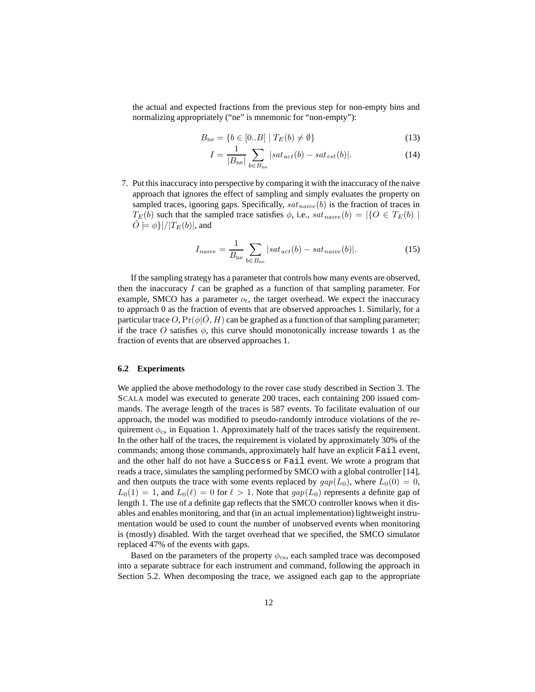the actual and expected fractions from the previous step for non-empty bins and normalizing appropriately ("ne" is mnemonic for "non-empty"):

$$
B_{\text{ne}} = \{ b \in [0..B] \mid T_E(b) \neq \emptyset \}
$$
\n(13)

$$
I = \frac{1}{|B_{\text{ne}}|} \sum_{b \in B_{\text{ne}}} |sat_{act}(b) - sat_{est}(b)|.
$$
 (14)

7. Put this inaccuracy into perspective by comparing it with the inaccuracy of the naive approach that ignores the effect of sampling and simply evaluates the property on sampled traces, ignoring gaps. Specifically,  $sat_{naive}(b)$  is the fraction of traces in  $T_E(b)$  such that the sampled trace satisfies  $\phi$ , i.e.,  $sat_{naive}(b) = |\{O \in T_E(b) |$  $\check{O} \models \phi \}/T_E(b)$ , and

$$
I_{naive} = \frac{1}{B_{\text{ne}}} \sum_{b \in B_{\text{ne}}} |sat_{act}(b) - sat_{naive}(b)|.
$$
 (15)

If the sampling strategy has a parameter that controls how many events are observed, then the inaccuracy  $I$  can be graphed as a function of that sampling parameter. For example, SMCO has a parameter  $o_t$ , the target overhead. We expect the inaccuracy to approach 0 as the fraction of events that are observed approaches 1. Similarly, for a particular trace O,  $Pr(\phi|O, H)$  can be graphed as a function of that sampling parameter; if the trace O satisfies  $\phi$ , this curve should monotonically increase towards 1 as the fraction of events that are observed approaches 1.

#### **6.2 Experiments**

We applied the above methodology to the rover case study described in Section 3. The SCALA model was executed to generate 200 traces, each containing 200 issued commands. The average length of the traces is 587 events. To facilitate evaluation of our approach, the model was modified to pseudo-randomly introduce violations of the requirement  $\phi_{\rm cs}$  in Equation 1. Approximately half of the traces satisfy the requirement. In the other half of the traces, the requirement is violated by approximately 30% of the commands; among those commands, approximately half have an explicit Fail event, and the other half do not have a Success or Fail event. We wrote a program that reads a trace, simulates the sampling performed by SMCO with a global controller [14], and then outputs the trace with some events replaced by  $gap(L_0)$ , where  $L_0(0) = 0$ ,  $L_0(1) = 1$ , and  $L_0(\ell) = 0$  for  $\ell > 1$ . Note that  $gap(L_0)$  represents a definite gap of length 1. The use of a definite gap reflects that the SMCO controller knows when it disables and enables monitoring, and that (in an actual implementation) lightweight instrumentation would be used to count the number of unobserved events when monitoring is (mostly) disabled. With the target overhead that we specified, the SMCO simulator replaced 47% of the events with gaps.

Based on the parameters of the property  $\phi_{\text{cs}}$ , each sampled trace was decomposed into a separate subtrace for each instrument and command, following the approach in Section 5.2. When decomposing the trace, we assigned each gap to the appropriate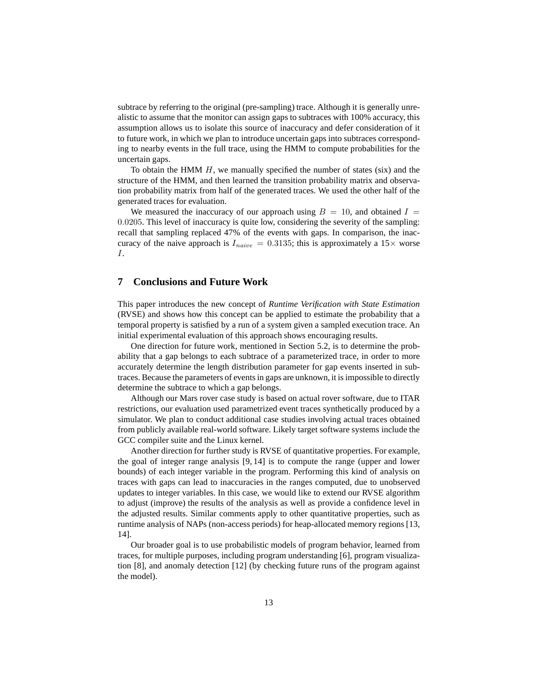subtrace by referring to the original (pre-sampling) trace. Although it is generally unrealistic to assume that the monitor can assign gaps to subtraces with 100% accuracy, this assumption allows us to isolate this source of inaccuracy and defer consideration of it to future work, in which we plan to introduce uncertain gaps into subtraces corresponding to nearby events in the full trace, using the HMM to compute probabilities for the uncertain gaps.

To obtain the HMM  $H$ , we manually specified the number of states (six) and the structure of the HMM, and then learned the transition probability matrix and observation probability matrix from half of the generated traces. We used the other half of the generated traces for evaluation.

We measured the inaccuracy of our approach using  $B = 10$ , and obtained  $I =$ 0.0205. This level of inaccuracy is quite low, considering the severity of the sampling: recall that sampling replaced 47% of the events with gaps. In comparison, the inaccuracy of the naive approach is  $I_{naive} = 0.3135$ ; this is approximately a 15 $\times$  worse I.

### **7 Conclusions and Future Work**

This paper introduces the new concept of *Runtime Verification with State Estimation* (RVSE) and shows how this concept can be applied to estimate the probability that a temporal property is satisfied by a run of a system given a sampled execution trace. An initial experimental evaluation of this approach shows encouraging results.

One direction for future work, mentioned in Section 5.2, is to determine the probability that a gap belongs to each subtrace of a parameterized trace, in order to more accurately determine the length distribution parameter for gap events inserted in subtraces. Because the parameters of events in gaps are unknown, it is impossible to directly determine the subtrace to which a gap belongs.

Although our Mars rover case study is based on actual rover software, due to ITAR restrictions, our evaluation used parametrized event traces synthetically produced by a simulator. We plan to conduct additional case studies involving actual traces obtained from publicly available real-world software. Likely target software systems include the GCC compiler suite and the Linux kernel.

Another direction for further study is RVSE of quantitative properties. For example, the goal of integer range analysis [9, 14] is to compute the range (upper and lower bounds) of each integer variable in the program. Performing this kind of analysis on traces with gaps can lead to inaccuracies in the ranges computed, due to unobserved updates to integer variables. In this case, we would like to extend our RVSE algorithm to adjust (improve) the results of the analysis as well as provide a confidence level in the adjusted results. Similar comments apply to other quantitative properties, such as runtime analysis of NAPs (non-access periods) for heap-allocated memory regions [13, 14].

Our broader goal is to use probabilistic models of program behavior, learned from traces, for multiple purposes, including program understanding [6], program visualization [8], and anomaly detection [12] (by checking future runs of the program against the model).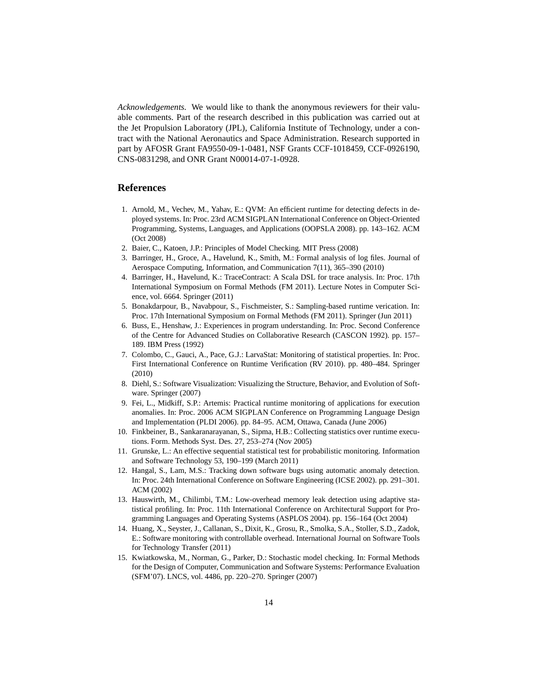*Acknowledgements.* We would like to thank the anonymous reviewers for their valuable comments. Part of the research described in this publication was carried out at the Jet Propulsion Laboratory (JPL), California Institute of Technology, under a contract with the National Aeronautics and Space Administration. Research supported in part by AFOSR Grant FA9550-09-1-0481, NSF Grants CCF-1018459, CCF-0926190, CNS-0831298, and ONR Grant N00014-07-1-0928.

### **References**

- 1. Arnold, M., Vechev, M., Yahav, E.: QVM: An efficient runtime for detecting defects in deployed systems. In: Proc. 23rd ACM SIGPLAN International Conference on Object-Oriented Programming, Systems, Languages, and Applications (OOPSLA 2008). pp. 143–162. ACM (Oct 2008)
- 2. Baier, C., Katoen, J.P.: Principles of Model Checking. MIT Press (2008)
- 3. Barringer, H., Groce, A., Havelund, K., Smith, M.: Formal analysis of log files. Journal of Aerospace Computing, Information, and Communication 7(11), 365–390 (2010)
- 4. Barringer, H., Havelund, K.: TraceContract: A Scala DSL for trace analysis. In: Proc. 17th International Symposium on Formal Methods (FM 2011). Lecture Notes in Computer Science, vol. 6664. Springer (2011)
- 5. Bonakdarpour, B., Navabpour, S., Fischmeister, S.: Sampling-based runtime verication. In: Proc. 17th International Symposium on Formal Methods (FM 2011). Springer (Jun 2011)
- 6. Buss, E., Henshaw, J.: Experiences in program understanding. In: Proc. Second Conference of the Centre for Advanced Studies on Collaborative Research (CASCON 1992). pp. 157– 189. IBM Press (1992)
- 7. Colombo, C., Gauci, A., Pace, G.J.: LarvaStat: Monitoring of statistical properties. In: Proc. First International Conference on Runtime Verification (RV 2010). pp. 480–484. Springer (2010)
- 8. Diehl, S.: Software Visualization: Visualizing the Structure, Behavior, and Evolution of Software. Springer (2007)
- 9. Fei, L., Midkiff, S.P.: Artemis: Practical runtime monitoring of applications for execution anomalies. In: Proc. 2006 ACM SIGPLAN Conference on Programming Language Design and Implementation (PLDI 2006). pp. 84–95. ACM, Ottawa, Canada (June 2006)
- 10. Finkbeiner, B., Sankaranarayanan, S., Sipma, H.B.: Collecting statistics over runtime executions. Form. Methods Syst. Des. 27, 253–274 (Nov 2005)
- 11. Grunske, L.: An effective sequential statistical test for probabilistic monitoring. Information and Software Technology 53, 190–199 (March 2011)
- 12. Hangal, S., Lam, M.S.: Tracking down software bugs using automatic anomaly detection. In: Proc. 24th International Conference on Software Engineering (ICSE 2002). pp. 291–301. ACM (2002)
- 13. Hauswirth, M., Chilimbi, T.M.: Low-overhead memory leak detection using adaptive statistical profiling. In: Proc. 11th International Conference on Architectural Support for Programming Languages and Operating Systems (ASPLOS 2004). pp. 156–164 (Oct 2004)
- 14. Huang, X., Seyster, J., Callanan, S., Dixit, K., Grosu, R., Smolka, S.A., Stoller, S.D., Zadok, E.: Software monitoring with controllable overhead. International Journal on Software Tools for Technology Transfer (2011)
- 15. Kwiatkowska, M., Norman, G., Parker, D.: Stochastic model checking. In: Formal Methods for the Design of Computer, Communication and Software Systems: Performance Evaluation (SFM'07). LNCS, vol. 4486, pp. 220–270. Springer (2007)